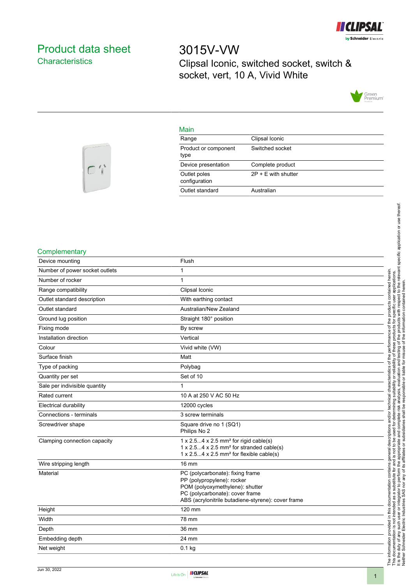

# <span id="page-0-0"></span>Product data sheet **Characteristics**

 $C'i$ 

3015V-VW Clipsal Iconic, switched socket, switch & socket, vert, 10 A, Vivid White



## Main

| . <u>.</u> .                  |                       |
|-------------------------------|-----------------------|
| Range                         | Clipsal Iconic        |
| Product or component<br>type  | Switched socket       |
| Device presentation           | Complete product      |
| Outlet poles<br>configuration | $2P + E$ with shutter |
| Outlet standard               | Australian            |
|                               |                       |

## **Complementary**

| Device mounting                | Flush                                                                                                                                                                                      |
|--------------------------------|--------------------------------------------------------------------------------------------------------------------------------------------------------------------------------------------|
| Number of power socket outlets | 1                                                                                                                                                                                          |
| Number of rocker               | 1                                                                                                                                                                                          |
| Range compatibility            | Clipsal Iconic                                                                                                                                                                             |
| Outlet standard description    | With earthing contact                                                                                                                                                                      |
| Outlet standard                | Australian/New Zealand                                                                                                                                                                     |
| Ground lug position            | Straight 180° position                                                                                                                                                                     |
| Fixing mode                    | By screw                                                                                                                                                                                   |
| Installation direction         | Vertical                                                                                                                                                                                   |
| Colour                         | Vivid white (VW)                                                                                                                                                                           |
| Surface finish                 | Matt                                                                                                                                                                                       |
| Type of packing                | Polybag                                                                                                                                                                                    |
| Quantity per set               | Set of 10                                                                                                                                                                                  |
| Sale per indivisible quantity  | 1                                                                                                                                                                                          |
| Rated current                  | 10 A at 250 V AC 50 Hz                                                                                                                                                                     |
| <b>Electrical durability</b>   | 12000 cycles                                                                                                                                                                               |
| Connections - terminals        | 3 screw terminals                                                                                                                                                                          |
| Screwdriver shape              | Square drive no 1 (SQ1)<br>Philips No 2                                                                                                                                                    |
| Clamping connection capacity   | $1 \times 2.54 \times 2.5$ mm <sup>2</sup> for rigid cable(s)<br>1 x 2.54 x 2.5 mm <sup>2</sup> for stranded cable(s)<br>$1 \times 2.54 \times 2.5$ mm <sup>2</sup> for flexible cable(s)  |
| Wire stripping length          | $16 \text{ mm}$                                                                                                                                                                            |
| Material                       | PC (polycarbonate): fixing frame<br>PP (polypropylene): rocker<br>POM (polyoxymethylene): shutter<br>PC (polycarbonate): cover frame<br>ABS (acrylonitrile butadiene-styrene): cover frame |
| Height                         | 120 mm                                                                                                                                                                                     |
| Width                          | 78 mm                                                                                                                                                                                      |
| Depth                          | 36 mm                                                                                                                                                                                      |
| Embedding depth                | 24 mm                                                                                                                                                                                      |
| Net weight                     | $0.1$ kg                                                                                                                                                                                   |